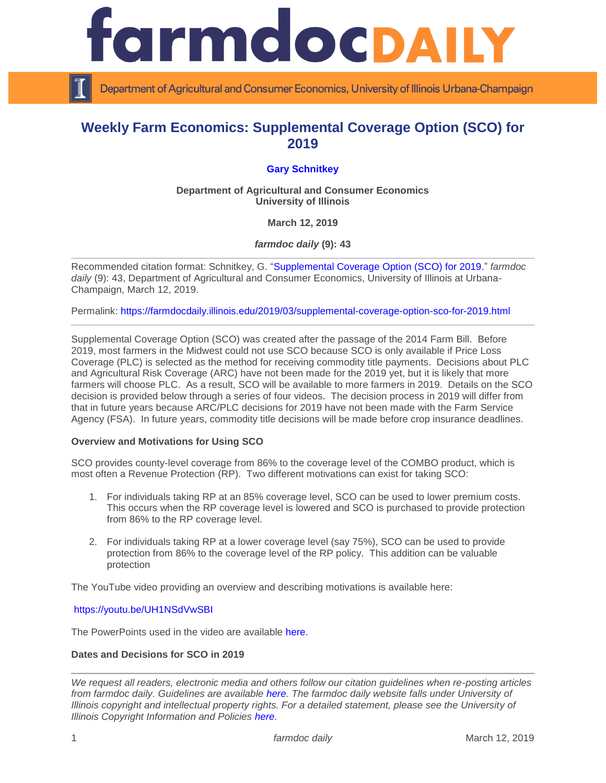

Department of Agricultural and Consumer Economics, University of Illinois Urbana-Champaign

# **Weekly Farm Economics: Supplemental Coverage Option (SCO) for 2019**

# **[Gary Schnitkey](http://farmdoc.illinois.edu/schnitkey)**

**Department of Agricultural and Consumer Economics University of Illinois**

**March 12, 2019**

*farmdoc daily* **(9): 43**

Recommended citation format: Schnitkey, G. ["Supplemental Coverage Option \(SCO\) for 2019.](https://farmdocdaily.illinois.edu/2019/03/supplemental-coverage-option-sco-for-2019.html)" *farmdoc*  daily (9): 43, Department of Agricultural and Consumer Economics, University of Illinois at Urbana-Champaign, March 12, 2019.

Permalink:<https://farmdocdaily.illinois.edu/2019/03/supplemental-coverage-option-sco-for-2019.html>

Supplemental Coverage Option (SCO) was created after the passage of the 2014 Farm Bill. Before 2019, most farmers in the Midwest could not use SCO because SCO is only available if Price Loss Coverage (PLC) is selected as the method for receiving commodity title payments. Decisions about PLC and Agricultural Risk Coverage (ARC) have not been made for the 2019 yet, but it is likely that more farmers will choose PLC. As a result, SCO will be available to more farmers in 2019. Details on the SCO decision is provided below through a series of four videos. The decision process in 2019 will differ from that in future years because ARC/PLC decisions for 2019 have not been made with the Farm Service Agency (FSA). In future years, commodity title decisions will be made before crop insurance deadlines.

# **Overview and Motivations for Using SCO**

SCO provides county-level coverage from 86% to the coverage level of the COMBO product, which is most often a Revenue Protection (RP). Two different motivations can exist for taking SCO:

- 1. For individuals taking RP at an 85% coverage level, SCO can be used to lower premium costs. This occurs when the RP coverage level is lowered and SCO is purchased to provide protection from 86% to the RP coverage level.
- 2. For individuals taking RP at a lower coverage level (say 75%), SCO can be used to provide protection from 86% to the coverage level of the RP policy. This addition can be valuable protection

The YouTube video providing an overview and describing motivations is available here:

<https://youtu.be/UH1NSdVwSBI>

The PowerPoints used in the video are available [here.](https://farmdocdaily.illinois.edu/wp-content/uploads/2019/03/SCO-overview.pdf)

# **Dates and Decisions for SCO in 2019**

*We request all readers, electronic media and others follow our citation guidelines when re-posting articles from farmdoc daily. Guidelines are available [here.](http://farmdocdaily.illinois.edu/citationguide.html) The farmdoc daily website falls under University of Illinois copyright and intellectual property rights. For a detailed statement, please see the University of Illinois Copyright Information and Policies [here.](http://www.cio.illinois.edu/policies/copyright/)*